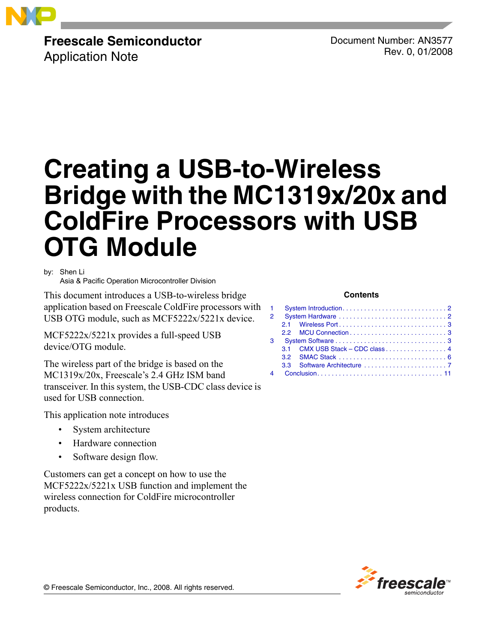

# **Freescale Semiconductor**

Application Note

Document Number: AN3577 Rev. 0, 01/2008

# **Creating a USB-to-Wireless Bridge with the MC1319x/20x and ColdFire Processors with USB OTG Module**

by: Shen Li

Asia & Pacific Operation Microcontroller Division

This document introduces a USB-to-wireless bridge application based on Freescale ColdFire processors with USB OTG module, such as MCF5222x/5221x device.

MCF5222x/5221x provides a full-speed USB device/OTG module.

The wireless part of the bridge is based on the MC1319x/20x, Freescale's 2.4 GHz ISM band transceiver. In this system, the USB-CDC class device is used for USB connection.

This application note introduces

- System architecture
- Hardware connection
- Software design flow.

Customers can get a concept on how to use the MCF5222x/5221x USB function and implement the wireless connection for ColdFire microcontroller products.

### **Contents**

| 2 |                                 |  |
|---|---------------------------------|--|
|   |                                 |  |
|   |                                 |  |
| 3 |                                 |  |
|   | 3.1 CMX USB Stack – CDC class 4 |  |
|   |                                 |  |
|   |                                 |  |
|   |                                 |  |



© Freescale Semiconductor, Inc., 2008. All rights reserved.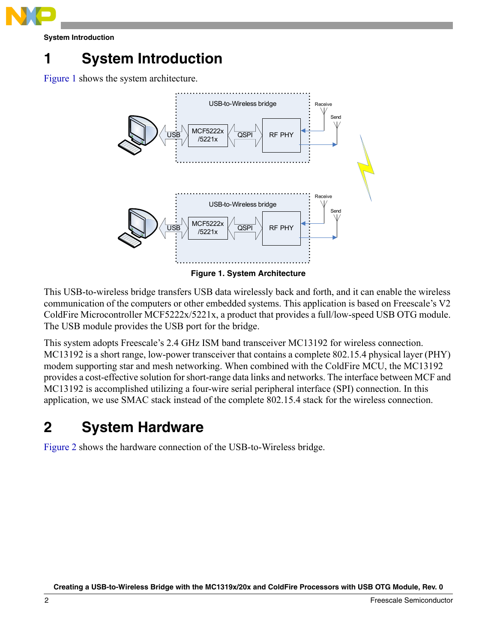

**System Introduction**

# <span id="page-1-0"></span>**1 System Introduction**

Figure 1 shows the system architecture.



**Figure 1. System Architecture**

This USB-to-wireless bridge transfers USB data wirelessly back and forth, and it can enable the wireless communication of the computers or other embedded systems. This application is based on Freescale's V2 ColdFire Microcontroller MCF5222x/5221x, a product that provides a full/low-speed USB OTG module. The USB module provides the USB port for the bridge.

This system adopts Freescale's 2.4 GHz ISM band transceiver MC13192 for wireless connection. MC13192 is a short range, low-power transceiver that contains a complete 802.15.4 physical layer (PHY) modem supporting star and mesh networking. When combined with the ColdFire MCU, the MC13192 provides a cost-effective solution for short-range data links and networks. The interface between MCF and MC13192 is accomplished utilizing a four-wire serial peripheral interface (SPI) connection. In this application, we use SMAC stack instead of the complete 802.15.4 stack for the wireless connection.

# <span id="page-1-1"></span>**2 System Hardware**

Figure 2 shows the hardware connection of the USB-to-Wireless bridge.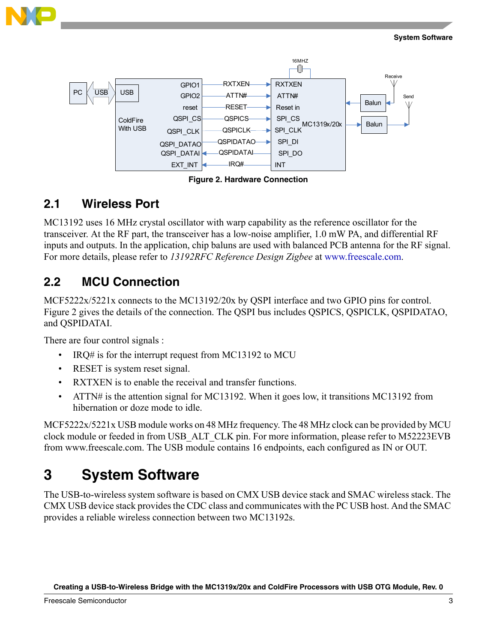



**Figure 2. Hardware Connection**

### <span id="page-2-0"></span>**2.1 Wireless Port**

MC13192 uses 16 MHz crystal oscillator with warp capability as the reference oscillator for the transceiver. At the RF part, the transceiver has a low-noise amplifier, 1.0 mW PA, and differential RF inputs and outputs. In the application, chip baluns are used with balanced PCB antenna for the RF signal. For more details, please refer to *13192RFC Reference Design Zigbee* at www.freescale.com.

### <span id="page-2-1"></span>**2.2 MCU Connection**

MCF5222x/5221x connects to the MC13192/20x by QSPI interface and two GPIO pins for control. Figure 2 gives the details of the connection. The QSPI bus includes QSPICS, QSPICLK, QSPIDATAO, and QSPIDATAI.

There are four control signals :

- $IRQ#$  is for the interrupt request from MC13192 to MCU
- RESET is system reset signal.
- RXTXEN is to enable the receival and transfer functions.
- ATTN# is the attention signal for MC13192. When it goes low, it transitions MC13192 from hibernation or doze mode to idle.

MCF5222x/5221x USB module works on 48 MHz frequency. The 48 MHz clock can be provided by MCU clock module or feeded in from USB\_ALT\_CLK pin. For more information, please refer to M52223EVB from www.freescale.com. The USB module contains 16 endpoints, each configured as IN or OUT.

## <span id="page-2-2"></span>**3 System Software**

The USB-to-wireless system software is based on CMX USB device stack and SMAC wireless stack. The CMX USB device stack provides the CDC class and communicates with the PC USB host. And the SMAC provides a reliable wireless connection between two MC13192s.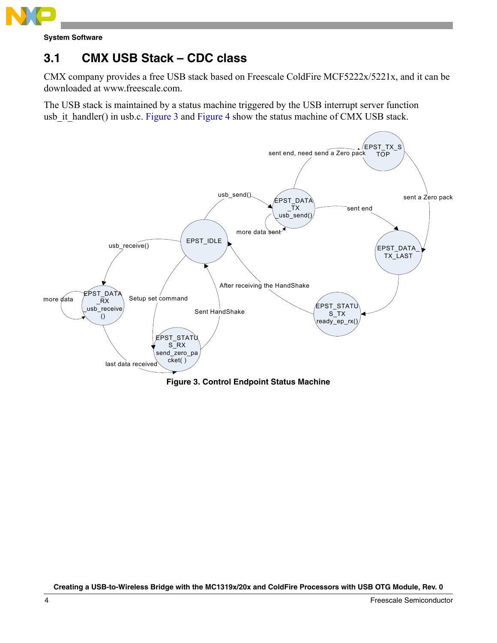

**System Software**

### <span id="page-3-0"></span>**3.1 CMX USB Stack – CDC class**

CMX company provides a free USB stack based on Freescale ColdFire MCF5222x/5221x, and it can be downloaded at www.freescale.com.

The USB stack is maintained by a status machine triggered by the USB interrupt server function usb it handler() in usb.c. Figure 3 and Figure 4 show the status machine of CMX USB stack.



**Figure 3. Control Endpoint Status Machine**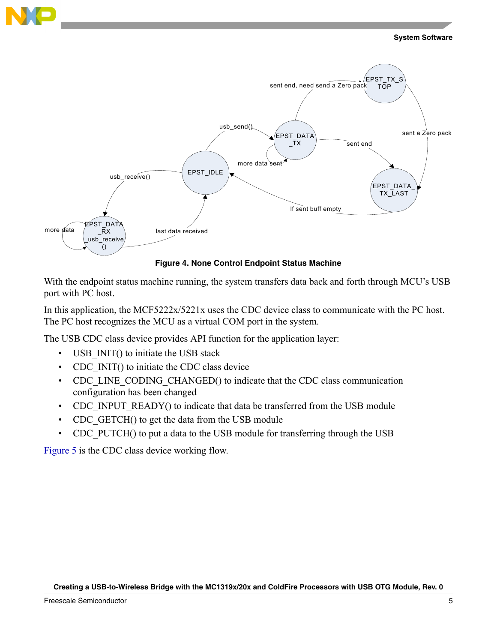



**Figure 4. None Control Endpoint Status Machine**

With the endpoint status machine running, the system transfers data back and forth through MCU's USB port with PC host.

In this application, the MCF5222x/5221x uses the CDC device class to communicate with the PC host. The PC host recognizes the MCU as a virtual COM port in the system.

The USB CDC class device provides API function for the application layer:

- USB INIT() to initiate the USB stack
- CDC INIT() to initiate the CDC class device
- CDC\_LINE\_CODING\_CHANGED() to indicate that the CDC class communication configuration has been changed
- CDC\_INPUT\_READY() to indicate that data be transferred from the USB module
- CDC GETCH() to get the data from the USB module
- CDC PUTCH() to put a data to the USB module for transferring through the USB

Figure 5 is the CDC class device working flow.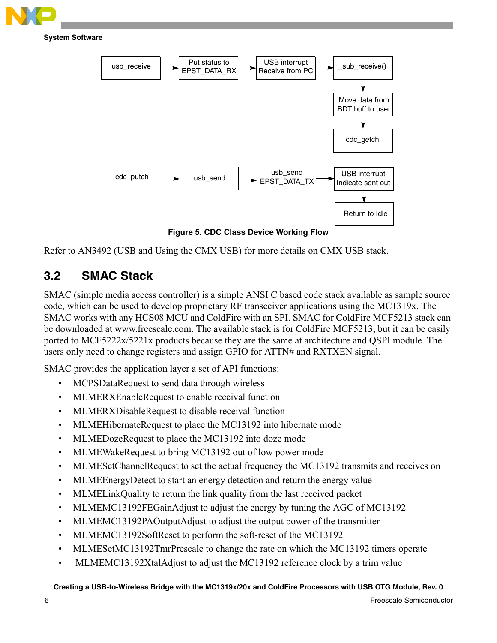

### **System Software**



**Figure 5. CDC Class Device Working Flow**

Refer to AN3492 (USB and Using the CMX USB) for more details on CMX USB stack.

### <span id="page-5-0"></span>**3.2 SMAC Stack**

SMAC (simple media access controller) is a simple ANSI C based code stack available as sample source code, which can be used to develop proprietary RF transceiver applications using the MC1319x. The SMAC works with any HCS08 MCU and ColdFire with an SPI. SMAC for ColdFire MCF5213 stack can be downloaded at www.freescale.com. The available stack is for ColdFire MCF5213, but it can be easily ported to MCF5222x/5221x products because they are the same at architecture and QSPI module. The users only need to change registers and assign GPIO for ATTN# and RXTXEN signal.

SMAC provides the application layer a set of API functions:

- MCPSDataRequest to send data through wireless
- MLMERXEnableRequest to enable receival function
- MLMERXDisableRequest to disable receival function
- MLMEHibernateRequest to place the MC13192 into hibernate mode
- MLMEDozeRequest to place the MC13192 into doze mode
- MLMEWakeRequest to bring MC13192 out of low power mode
- MLMESetChannelRequest to set the actual frequency the MC13192 transmits and receives on
- MLMEEnergyDetect to start an energy detection and return the energy value
- MLMELinkQuality to return the link quality from the last received packet
- MLMEMC13192FEGainAdjust to adjust the energy by tuning the AGC of MC13192
- MLMEMC13192PAOutputAdjust to adjust the output power of the transmitter
- MLMEMC13192SoftReset to perform the soft-reset of the MC13192
- MLMESetMC13192TmrPrescale to change the rate on which the MC13192 timers operate
- MLMEMC13192XtalAdjust to adjust the MC13192 reference clock by a trim value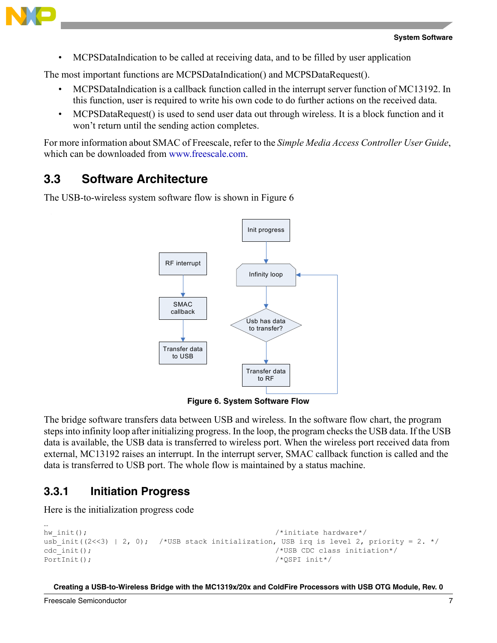

• MCPSDataIndication to be called at receiving data, and to be filled by user application

The most important functions are MCPSDataIndication() and MCPSDataRequest().

- MCPSDataIndication is a callback function called in the interrupt server function of MC13192. In this function, user is required to write his own code to do further actions on the received data.
- MCPSDataRequest() is used to send user data out through wireless. It is a block function and it won't return until the sending action completes.

For more information about SMAC of Freescale, refer to the *Simple Media Access Controller User Guide*, which can be downloaded from www.freescale.com.

### <span id="page-6-0"></span>**3.3 Software Architecture**

The USB-to-wireless system software flow is shown in Figure 6



**Figure 6. System Software Flow**

The bridge software transfers data between USB and wireless. In the software flow chart, the program steps into infinity loop after initializing progress. In the loop, the program checks the USB data. If the USB data is available, the USB data is transferred to wireless port. When the wireless port received data from external, MC13192 raises an interrupt. In the interrupt server, SMAC callback function is called and the data is transferred to USB port. The whole flow is maintained by a status machine.

### **3.3.1 Initiation Progress**

Here is the initialization progress code

```
…
hw init(); \frac{1}{\sqrt{2}} /*initiate hardware*/
usb init((2<<3) | 2, 0); /*USB stack initialization, USB irq is level 2, priority = 2. */
cdc init(); \qquad \qquad /*USB CDC class initiation*/
PortInit(); \frac{1}{2} /*QSPI init*/
```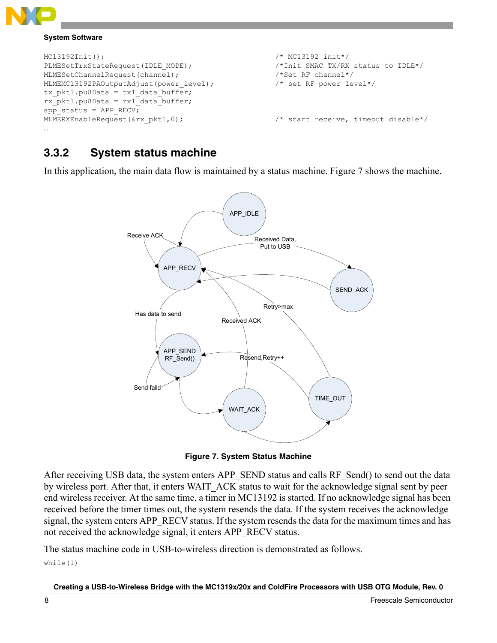

### **System Software**

```
MC13192Init(); /* MC13192 init*/
PLMESetTrxStateRequest(IDLE_MODE); /*Init SMAC TX/RX status to IDLE*/
MLMESetChannelRequest(channel); \overline{\hspace{1cm}} /*Set RF channel*/
MLMEMC13192PAOutputAdjust(power_level); /* set RF power level*/
tx_pkt1.pu8Data = tx1_data_buffer;
rx\_pk1.pu8Data = rx1 data buffer;
app_status = APP RECV;
MLMERXEnableRequest(&rx_pkt1,0); /* start receive, timeout disable*/
…
```
### **3.3.2 System status machine**

In this application, the main data flow is maintained by a status machine. Figure 7 shows the machine.



**Figure 7. System Status Machine**

<span id="page-7-0"></span>After receiving USB data, the system enters APP\_SEND status and calls RF\_Send() to send out the data by wireless port. After that, it enters WAIT\_ACK status to wait for the acknowledge signal sent by peer end wireless receiver. At the same time, a timer in MC13192 is started. If no acknowledge signal has been received before the timer times out, the system resends the data. If the system receives the acknowledge signal, the system enters APP\_RECV status. If the system resends the data for the maximum times and has not received the acknowledge signal, it enters APP\_RECV status.

The status machine code in USB-to-wireless direction is demonstrated as follows. while(1)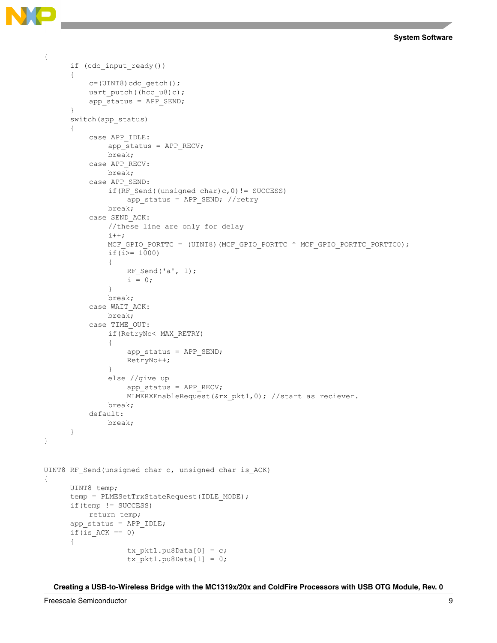**System Software**

```
{
      if (cdc_input_ready())
      {
          c=(UINT8)cdc getch();
          uart putch((hcc u8)c);
          app_status = APP_SEND;
      }
      switch(app_status)
      {
          case APP_IDLE:
              app_status = APP RECV;
              break;
          case APP_RECV:
              break;
          case APP_SEND:
               if(RF Send((unsigned char)c,0)!= SUCCESS)
                   app_status = APP_SEND; //retry
               break;
          case SEND_ACK:
               //these line are only for delay 
               i++;MCF_GPIO_PORTTC = (UINT8)(MCF_GPIO_PORTTC ^ MCF_GPIO_PORTTC_PORTTC0);
               if(i>= 1000)
               {
                   RF_Send('a', 1);
                   i = 0;}
              break;
          case WAIT_ACK:
              break;
          case TIME_OUT:
               if(RetryNo< MAX_RETRY)
               {
                   app_status = APP_SEND;
                   RetryNo++;
               }
               else //give up
                   app_status = APP RECV;
                   MLMERXEnableRequest(&rx_pkt1,0); //start as reciever.
               break;
          default:
              break;
      }
}
UINT8 RF Send(unsigned char c, unsigned char is ACK)
{
      UINT8 temp;
      temp = PLMESetTrxStateRequest(IDLE_MODE);
      if(temp != SUCCESS)
         return temp;
      app_status = APP_IDLE;
      if(is ACK == 0)
      {
                   tx pkt1.pu8Data[0] = c;
                   tx pt1.pu8Data[1] = 0;
```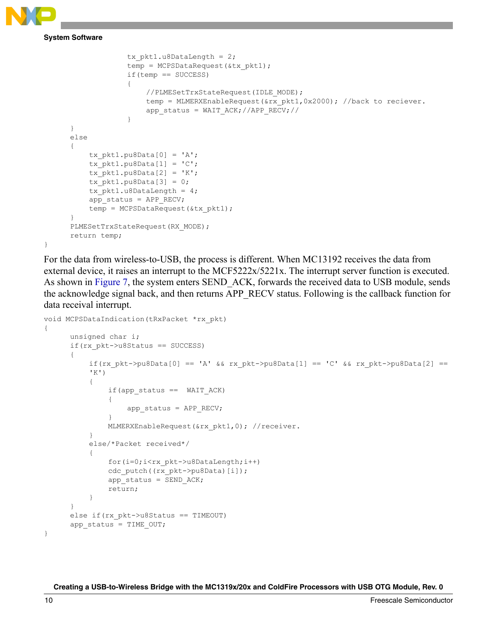}

**System Software**

```
tx ptt1.u8DataLength = 2;
             temp = MCPSDataRequest(&tx pkt1);
             if(temp == SUCCESS)
             {
                 //PLMESetTrxStateRequest(IDLE_MODE);
                 temp = MLMERXEnableRequest(&rx_pkt1,0x2000); //back to reciever.
                 app_status = WAIT_ACK;//APP_RECV;//
             }
}
else
{
    tx pk1.pu8Data[0] = 'A';tx pt1.pu8Data[1] = 'C';tx pk1.pu8Data[2] = 'K';tx pt1.pu8Data[3] = 0;tx pk1.u8DataLength = 4;app_status = APP RECV;
    temp = MCPSDataRequest(&tx_pkt1);
}
PLMESetTrxStateRequest(RX_MODE) ;
return temp;
```
For the data from wireless-to-USB, the process is different. When MC13192 receives the data from external device, it raises an interrupt to the MCF5222x/5221x. The interrupt server function is executed. As shown in [Figure 7](#page-7-0), the system enters SEND ACK, forwards the received data to USB module, sends the acknowledge signal back, and then returns APP\_RECV status. Following is the callback function for data receival interrupt.

```
void MCPSDataIndication(tRxPacket *rx_pkt)
{
      unsigned char i;
      if(rx_pkt->u8Status == SUCCESS)
      {
           if(rx pkt->pu8Data[0] == 'A' && rx pkt->pu8Data[1] == 'C' && rx pkt->pu8Data[2] ==
          'K')
           {
               if(app_status == WAIT_ACK)
               {
                   app_status = APP RECV;
               }
               MLMERXEnableRequest(&rx pkt1,0); //receiver.
          }
          else/*Packet received*/
           {
               for(i=0;i<rx pkt->u8DataLength;i++)
               cdc_putch((rx_pkt->pu8Data)[i]);
               app status = SEND ACK;
               return;
           }
      }
      else if(rx_pkt->u8Status == TIMEOUT)
      app status = TIME OUT;
}
```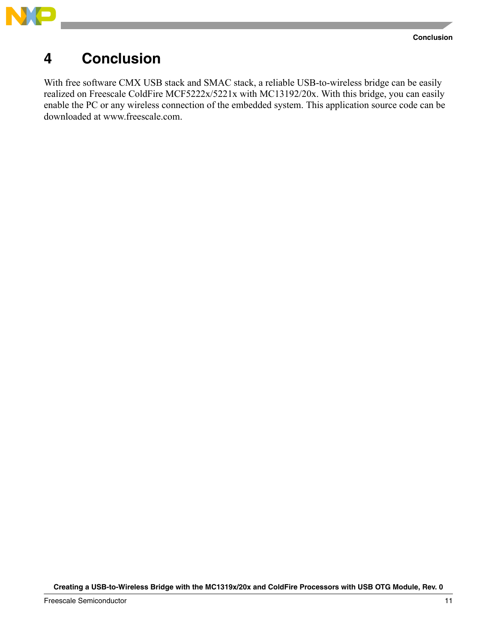

## <span id="page-10-0"></span>**4 Conclusion**

With free software CMX USB stack and SMAC stack, a reliable USB-to-wireless bridge can be easily realized on Freescale ColdFire MCF5222x/5221x with MC13192/20x. With this bridge, you can easily enable the PC or any wireless connection of the embedded system. This application source code can be downloaded at www.freescale.com.